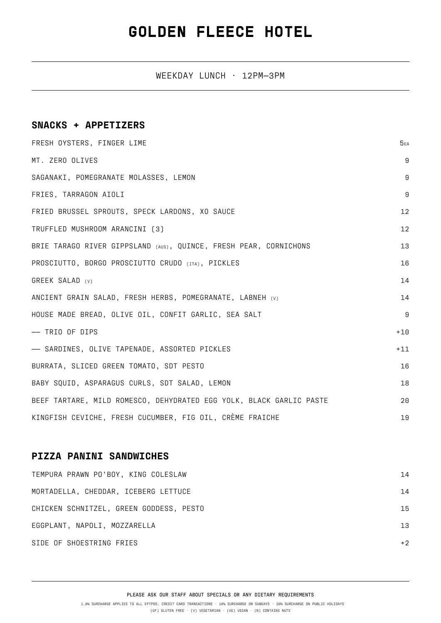## **GOLDEN FLEECE HOTEL**

WEEKDAY LUNCH · 12PM—3PM

### **SNACKS + APPETIZERS**

| FRESH OYSTERS, FINGER LIME                                          | 5EA              |
|---------------------------------------------------------------------|------------------|
| MT. ZERO OLIVES                                                     | 9                |
| SAGANAKI, POMEGRANATE MOLASSES, LEMON                               | $\boldsymbol{9}$ |
| FRIES, TARRAGON AIOLI                                               | 9                |
| FRIED BRUSSEL SPROUTS, SPECK LARDONS, XO SAUCE                      | 12               |
| TRUFFLED MUSHROOM ARANCINI (3)                                      | 12               |
| BRIE TARAGO RIVER GIPPSLAND (AUS), QUINCE, FRESH PEAR, CORNICHONS   | 13               |
| PROSCIUTTO, BORGO PROSCIUTTO CRUDO (ITA), PICKLES                   | 16               |
| GREEK SALAD (v)                                                     | 14               |
| ANCIENT GRAIN SALAD, FRESH HERBS, POMEGRANATE, LABNEH (v)           | 14               |
| HOUSE MADE BREAD, OLIVE OIL, CONFIT GARLIC, SEA SALT                | 9                |
| -- TRIO OF DIPS                                                     | $+10$            |
| -- SARDINES, OLIVE TAPENADE, ASSORTED PICKLES                       | $+11$            |
| BURRATA, SLICED GREEN TOMATO, SDT PESTO                             | 16               |
| BABY SQUID, ASPARAGUS CURLS, SDT SALAD, LEMON                       | 18               |
| BEEF TARTARE, MILD ROMESCO, DEHYDRATED EGG YOLK, BLACK GARLIC PASTE | 20               |
| KINGFISH CEVICHE, FRESH CUCUMBER, FIG OIL, CRÈME FRAICHE            | 19               |

#### **PIZZA PANINI SANDWICHES**

| TEMPURA PRAWN PO'BOY, KING COLESLAW     | 14   |
|-----------------------------------------|------|
| MORTADELLA, CHEDDAR, ICEBERG LETTUCE    | 14   |
| CHICKEN SCHNITZEL, GREEN GODDESS, PESTO | 15   |
| EGGPLANT, NAPOLI, MOZZARELLA            | 13   |
| SIDE OF SHOESTRING FRIES                | $+2$ |